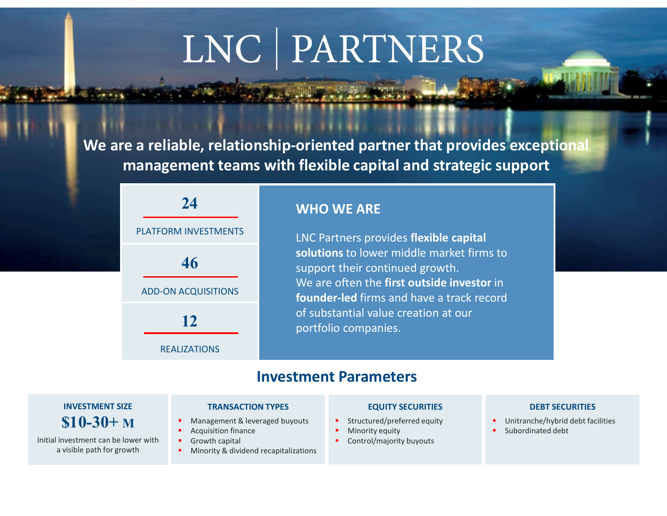# LNC | PARTNERS

We are a reliable, relationship-oriented partner that provides exceptional management teams with flexible capital and strategic support

| 24<br><b>PLATFORM INVESTMENTS</b> | <b>WHO WE ARE</b><br>LNC Partners provides flexible capital                                                                                                             |
|-----------------------------------|-------------------------------------------------------------------------------------------------------------------------------------------------------------------------|
| 46<br><b>ADD-ON ACQUISITIONS</b>  | solutions to lower middle market firms to<br>support their continued growth.<br>We are often the first outside investor in<br>founder-led firms and have a track record |
| 12<br><b>REALIZATIONS</b>         | of substantial value creation at our<br>portfolio companies.                                                                                                            |

PLATFORM INVESTMENTS **EXAMPLE 20 INCORT CONTROLS CONTROLLY AND REACTLE CONTROLLY CONTROLLY CONTROLLY CONTROLLY CONTROLLY CONTROLLY CONTROLLY CONTROLLY CONTROLLY CONTROLLY CONTROLLY CONTROLLY CONTROLLY CONTROLLY CONTROLLY C** solutions to lower middle market firms to 46 **Soutions** to lower middle market mins to support their continued growth. We are often the first outside investor in ADD-ON ACQUISITIONS **Extracted firms** and have a track record of substantial value creation at our 12 **IDENTIFY OF SUBSTANTIAL VALUE CLEATION AT OUR** 

### Investment Parameters

### INVESTMENT SIZE \$10-30+ M

Initial investment can be lower with

### TRANSACTION TYPES

- Management & leveraged buyouts
- Acquisition finance
- Growth capital
- a visible path for growth **Theory Act is a metally constructed** a visible path for growth

### EQUITY SECURITIES

- Structured/preferred equity
- Minority equity
- Control/majority buyouts

### DEBT SECURITIES

- Unitranche/hybrid debt facilities
- Subordinated debt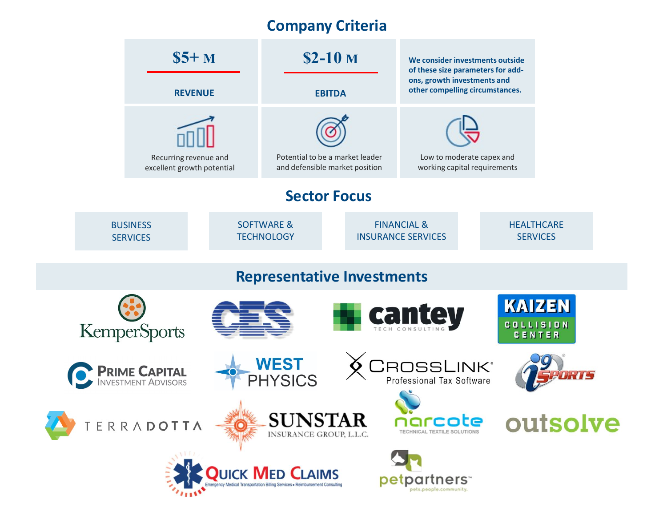# Company Criteria

|                                                                                                                          | $\$5+M$<br><b>REVENUE</b>                           |                                            | $$2-10M$<br><b>EBITDA</b>                                         |  |                                                     | We consider investments outside<br>of these size parameters for add-<br>ons, growth investments and<br>other compelling circumstances. |  |                                      |                                   |  |  |
|--------------------------------------------------------------------------------------------------------------------------|-----------------------------------------------------|--------------------------------------------|-------------------------------------------------------------------|--|-----------------------------------------------------|----------------------------------------------------------------------------------------------------------------------------------------|--|--------------------------------------|-----------------------------------|--|--|
|                                                                                                                          | Recurring revenue and<br>excellent growth potential |                                            | Potential to be a market leader<br>and defensible market position |  |                                                     | Low to moderate capex and<br>working capital requirements                                                                              |  |                                      |                                   |  |  |
| <b>Sector Focus</b>                                                                                                      |                                                     |                                            |                                                                   |  |                                                     |                                                                                                                                        |  |                                      |                                   |  |  |
|                                                                                                                          | <b>BUSINESS</b><br><b>SERVICES</b>                  | <b>SOFTWARE &amp;</b><br><b>TECHNOLOGY</b> |                                                                   |  | <b>FINANCIAL &amp;</b><br><b>INSURANCE SERVICES</b> |                                                                                                                                        |  | <b>HEALTHCARE</b><br><b>SERVICES</b> |                                   |  |  |
| <b>Representative Investments</b>                                                                                        |                                                     |                                            |                                                                   |  |                                                     |                                                                                                                                        |  |                                      |                                   |  |  |
|                                                                                                                          | <b>KemperSports</b>                                 |                                            |                                                                   |  |                                                     | cantey                                                                                                                                 |  | <b>CENTER</b>                        | <b>KAIZEN</b><br><b>COLLISION</b> |  |  |
|                                                                                                                          | <b>PRIME CAPITAL</b><br>INVESTMENT ADVISORS         |                                            | <b>WEST</b><br><b>PHYSICS</b>                                     |  |                                                     | <b>ROSSLINK®</b><br>Professional Tax Software                                                                                          |  |                                      |                                   |  |  |
|                                                                                                                          | ERRADOTTA                                           |                                            | <b>SUNSTAR</b><br>INSURANCE GROUP, L.L.C.                         |  |                                                     | narcote<br>TECHNICAL TEXTILE SOLUTIONS                                                                                                 |  |                                      | outsolve                          |  |  |
| <b>QUICK MED CLAIMS</b><br>petpartners <sup>-</sup><br>edical Transportation Billing Services . Reimbursement Consulting |                                                     |                                            |                                                                   |  |                                                     |                                                                                                                                        |  |                                      |                                   |  |  |